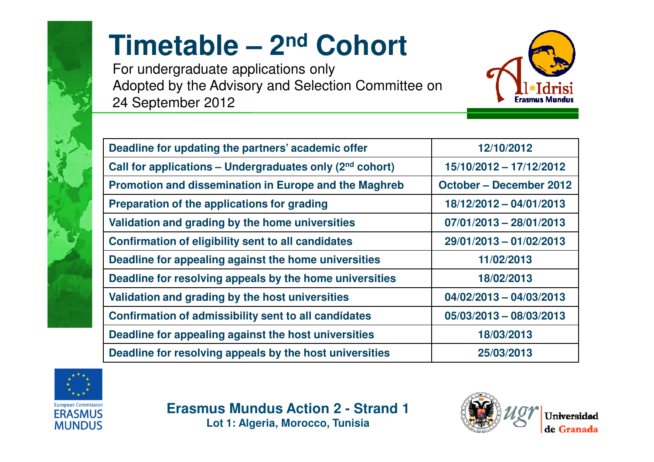

## **Timetable – <sup>2</sup>nd Cohort**

For undergraduate applications only Adopted by the Advisory and Selection Committee on 24 September 2012



| Deadline for updating the partners' academic offer                   | 12/10/2012                     |
|----------------------------------------------------------------------|--------------------------------|
| Call for applications - Undergraduates only (2 <sup>nd</sup> cohort) | 15/10/2012 - 17/12/2012        |
| Promotion and dissemination in Europe and the Maghreb                | <b>October - December 2012</b> |
| Preparation of the applications for grading                          | 18/12/2012 - 04/01/2013        |
| Validation and grading by the home universities                      | $07/01/2013 - 28/01/2013$      |
| Confirmation of eligibility sent to all candidates                   | 29/01/2013 - 01/02/2013        |
| Deadline for appealing against the home universities                 | 11/02/2013                     |
| Deadline for resolving appeals by the home universities              | 18/02/2013                     |
| Validation and grading by the host universities                      | $04/02/2013 - 04/03/2013$      |
| <b>Confirmation of admissibility sent to all candidates</b>          | 05/03/2013 - 08/03/2013        |
| Deadline for appealing against the host universities                 | 18/03/2013                     |
| Deadline for resolving appeals by the host universities              | 25/03/2013                     |



**Erasmus Mundus Action 2 - Strand 1Lot 1: Algeria, Morocco, Tunisia**